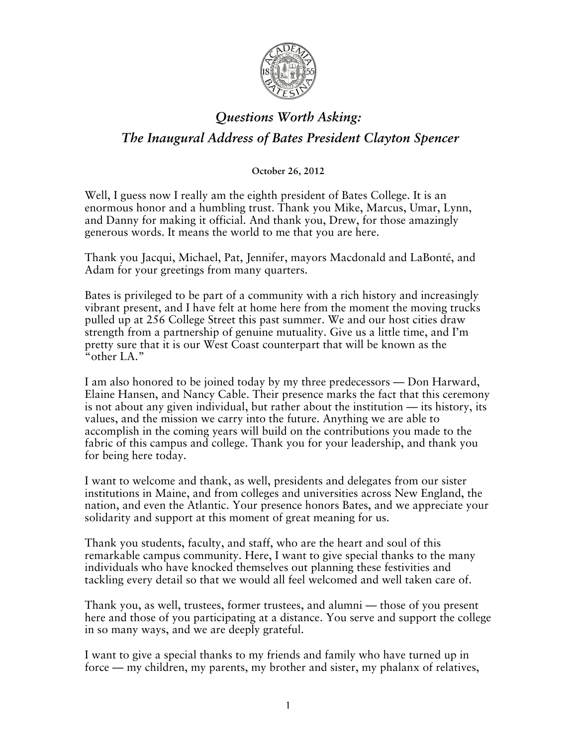

## *Questions Worth Asking: The Inaugural Address of Bates President Clayton Spencer*

**October 26, 2012**

Well, I guess now I really am the eighth president of Bates College. It is an enormous honor and a humbling trust. Thank you Mike, Marcus, Umar, Lynn, and Danny for making it official. And thank you, Drew, for those amazingly generous words. It means the world to me that you are here.

Thank you Jacqui, Michael, Pat, Jennifer, mayors Macdonald and LaBonté, and Adam for your greetings from many quarters.

Bates is privileged to be part of a community with a rich history and increasingly vibrant present, and I have felt at home here from the moment the moving trucks pulled up at 256 College Street this past summer. We and our host cities draw strength from a partnership of genuine mutuality. Give us a little time, and I'm pretty sure that it is our West Coast counterpart that will be known as the "other LA."

I am also honored to be joined today by my three predecessors — Don Harward, Elaine Hansen, and Nancy Cable. Their presence marks the fact that this ceremony is not about any given individual, but rather about the institution — its history, its values, and the mission we carry into the future. Anything we are able to accomplish in the coming years will build on the contributions you made to the fabric of this campus and college. Thank you for your leadership, and thank you for being here today.

I want to welcome and thank, as well, presidents and delegates from our sister institutions in Maine, and from colleges and universities across New England, the nation, and even the Atlantic. Your presence honors Bates, and we appreciate your solidarity and support at this moment of great meaning for us.

Thank you students, faculty, and staff, who are the heart and soul of this remarkable campus community. Here, I want to give special thanks to the many individuals who have knocked themselves out planning these festivities and tackling every detail so that we would all feel welcomed and well taken care of.

Thank you, as well, trustees, former trustees, and alumni — those of you present here and those of you participating at a distance. You serve and support the college in so many ways, and we are deeply grateful.

I want to give a special thanks to my friends and family who have turned up in force — my children, my parents, my brother and sister, my phalanx of relatives,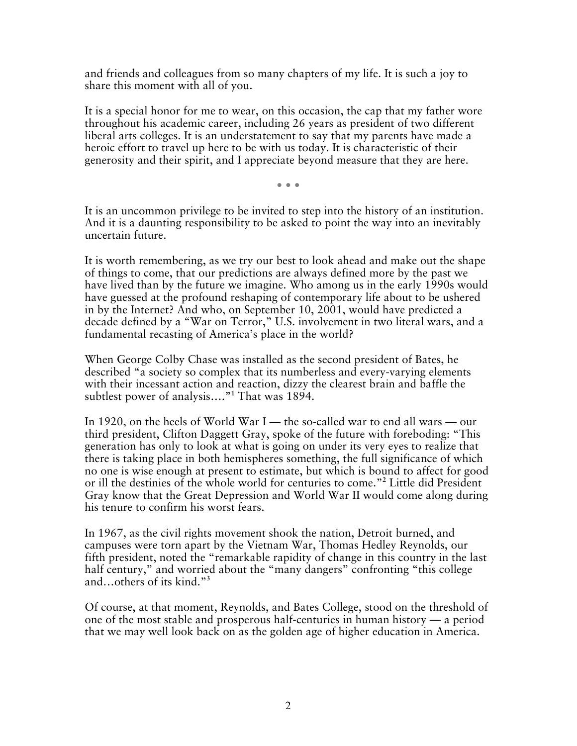and friends and colleagues from so many chapters of my life. It is such a joy to share this moment with all of you.

It is a special honor for me to wear, on this occasion, the cap that my father wore throughout his academic career, including 26 years as president of two different liberal arts colleges. It is an understatement to say that my parents have made a heroic effort to travel up here to be with us today. It is characteristic of their generosity and their spirit, and I appreciate beyond measure that they are here.

• • •

It is an uncommon privilege to be invited to step into the history of an institution. And it is a daunting responsibility to be asked to point the way into an inevitably uncertain future.

It is worth remembering, as we try our best to look ahead and make out the shape of things to come, that our predictions are always defined more by the past we have lived than by the future we imagine. Who among us in the early 1990s would have guessed at the profound reshaping of contemporary life about to be ushered in by the Internet? And who, on September 10, 2001, would have predicted a decade defined by a "War on Terror," U.S. involvement in two literal wars, and a fundamental recasting of America's place in the world?

When George Colby Chase was installed as the second president of Bates, he described "a society so complex that its numberless and every-varying elements with their incessant action and reaction, dizzy the clearest brain and baffle the subtlest power of analysis…."**<sup>1</sup>** That was 1894.

In 1920, on the heels of World War I — the so-called war to end all wars — our third president, Clifton Daggett Gray, spoke of the future with foreboding: "This generation has only to look at what is going on under its very eyes to realize that there is taking place in both hemispheres something, the full significance of which no one is wise enough at present to estimate, but which is bound to affect for good or ill the destinies of the whole world for centuries to come."**<sup>2</sup>** Little did President Gray know that the Great Depression and World War II would come along during his tenure to confirm his worst fears.

In 1967, as the civil rights movement shook the nation, Detroit burned, and campuses were torn apart by the Vietnam War, Thomas Hedley Reynolds, our fifth president, noted the "remarkable rapidity of change in this country in the last half century," and worried about the "many dangers" confronting "this college and…others of its kind."**<sup>3</sup>**

Of course, at that moment, Reynolds, and Bates College, stood on the threshold of one of the most stable and prosperous half-centuries in human history — a period that we may well look back on as the golden age of higher education in America.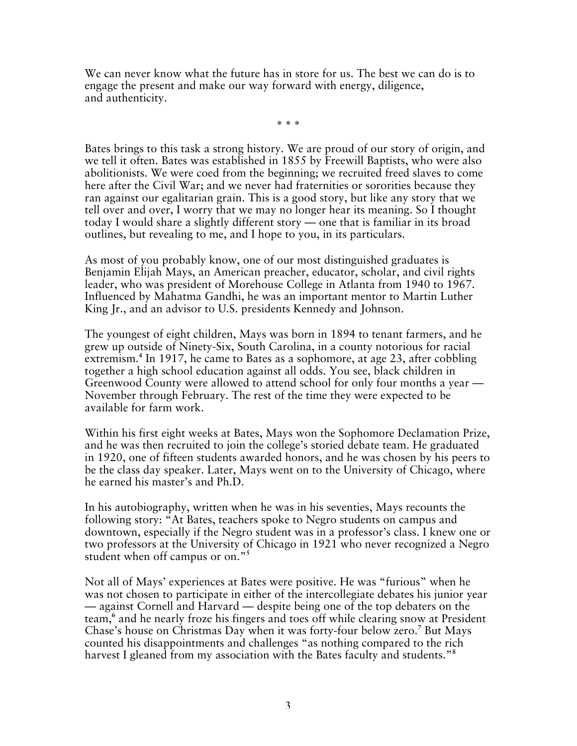We can never know what the future has in store for us. The best we can do is to engage the present and make our way forward with energy, diligence, and authenticity.

• • •

Bates brings to this task a strong history. We are proud of our story of origin, and we tell it often. Bates was established in 1855 by Freewill Baptists, who were also abolitionists. We were coed from the beginning; we recruited freed slaves to come here after the Civil War; and we never had fraternities or sororities because they ran against our egalitarian grain. This is a good story, but like any story that we tell over and over, I worry that we may no longer hear its meaning. So I thought today I would share a slightly different story — one that is familiar in its broad outlines, but revealing to me, and I hope to you, in its particulars.

As most of you probably know, one of our most distinguished graduates is Benjamin Elijah Mays, an American preacher, educator, scholar, and civil rights leader, who was president of Morehouse College in Atlanta from 1940 to 1967. Influenced by Mahatma Gandhi, he was an important mentor to Martin Luther King Jr., and an advisor to U.S. presidents Kennedy and Johnson.

The youngest of eight children, Mays was born in 1894 to tenant farmers, and he grew up outside of Ninety-Six, South Carolina, in a county notorious for racial extremism.<sup>4</sup> In 1917, he came to Bates as a sophomore, at age 23, after cobbling together a high school education against all odds. You see, black children in Greenwood County were allowed to attend school for only four months a year — November through February. The rest of the time they were expected to be available for farm work.

Within his first eight weeks at Bates, Mays won the Sophomore Declamation Prize, and he was then recruited to join the college's storied debate team. He graduated in 1920, one of fifteen students awarded honors, and he was chosen by his peers to be the class day speaker. Later, Mays went on to the University of Chicago, where he earned his master's and Ph.D.

In his autobiography, written when he was in his seventies, Mays recounts the following story: "At Bates, teachers spoke to Negro students on campus and downtown, especially if the Negro student was in a professor's class. I knew one or two professors at the University of Chicago in 1921 who never recognized a Negro student when off campus or on."**<sup>5</sup>**

Not all of Mays' experiences at Bates were positive. He was "furious" when he was not chosen to participate in either of the intercollegiate debates his junior year — against Cornell and Harvard — despite being one of the top debaters on the team,**<sup>6</sup>** and he nearly froze his fingers and toes off while clearing snow at President Chase's house on Christmas Day when it was forty-four below zero.<sup>7</sup> But Mays counted his disappointments and challenges "as nothing compared to the rich harvest I gleaned from my association with the Bates faculty and students."**8**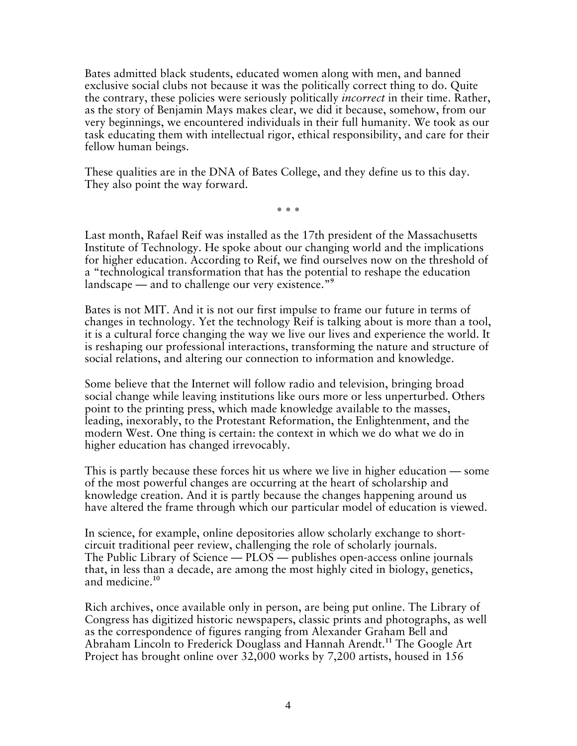Bates admitted black students, educated women along with men, and banned exclusive social clubs not because it was the politically correct thing to do. Quite the contrary, these policies were seriously politically *incorrect* in their time. Rather, as the story of Benjamin Mays makes clear, we did it because, somehow, from our very beginnings, we encountered individuals in their full humanity. We took as our task educating them with intellectual rigor, ethical responsibility, and care for their fellow human beings.

These qualities are in the DNA of Bates College, and they define us to this day. They also point the way forward.

• • •

Last month, Rafael Reif was installed as the 17th president of the Massachusetts Institute of Technology. He spoke about our changing world and the implications for higher education. According to Reif, we find ourselves now on the threshold of a "technological transformation that has the potential to reshape the education landscape — and to challenge our very existence."**<sup>9</sup>**

Bates is not MIT. And it is not our first impulse to frame our future in terms of changes in technology. Yet the technology Reif is talking about is more than a tool, it is a cultural force changing the way we live our lives and experience the world. It is reshaping our professional interactions, transforming the nature and structure of social relations, and altering our connection to information and knowledge.

Some believe that the Internet will follow radio and television, bringing broad social change while leaving institutions like ours more or less unperturbed. Others point to the printing press, which made knowledge available to the masses, leading, inexorably, to the Protestant Reformation, the Enlightenment, and the modern West. One thing is certain: the context in which we do what we do in higher education has changed irrevocably.

This is partly because these forces hit us where we live in higher education — some of the most powerful changes are occurring at the heart of scholarship and knowledge creation. And it is partly because the changes happening around us have altered the frame through which our particular model of education is viewed.

In science, for example, online depositories allow scholarly exchange to shortcircuit traditional peer review, challenging the role of scholarly journals. The Public Library of Science — PLOS — publishes open-access online journals that, in less than a decade, are among the most highly cited in biology, genetics, and medicine.**<sup>10</sup>**

Rich archives, once available only in person, are being put online. The Library of Congress has digitized historic newspapers, classic prints and photographs, as well as the correspondence of figures ranging from Alexander Graham Bell and Abraham Lincoln to Frederick Douglass and Hannah Arendt.**<sup>11</sup>** The Google Art Project has brought online over 32,000 works by 7,200 artists, housed in 156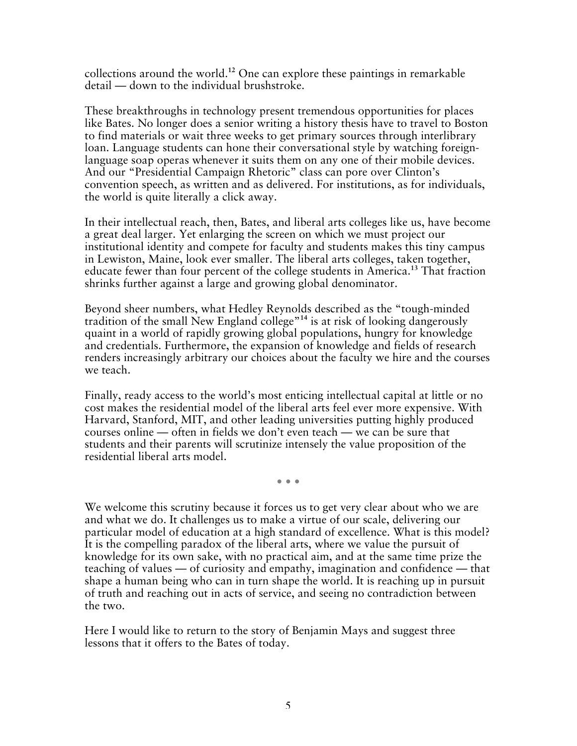collections around the world.**<sup>12</sup>** One can explore these paintings in remarkable detail — down to the individual brushstroke.

These breakthroughs in technology present tremendous opportunities for places like Bates. No longer does a senior writing a history thesis have to travel to Boston to find materials or wait three weeks to get primary sources through interlibrary loan. Language students can hone their conversational style by watching foreignlanguage soap operas whenever it suits them on any one of their mobile devices. And our "Presidential Campaign Rhetoric" class can pore over Clinton's convention speech, as written and as delivered. For institutions, as for individuals, the world is quite literally a click away.

In their intellectual reach, then, Bates, and liberal arts colleges like us, have become a great deal larger. Yet enlarging the screen on which we must project our institutional identity and compete for faculty and students makes this tiny campus in Lewiston, Maine, look ever smaller. The liberal arts colleges, taken together, educate fewer than four percent of the college students in America.**<sup>13</sup>** That fraction shrinks further against a large and growing global denominator.

Beyond sheer numbers, what Hedley Reynolds described as the "tough-minded tradition of the small New England college"**<sup>14</sup>** is at risk of looking dangerously quaint in a world of rapidly growing global populations, hungry for knowledge and credentials. Furthermore, the expansion of knowledge and fields of research renders increasingly arbitrary our choices about the faculty we hire and the courses we teach.

Finally, ready access to the world's most enticing intellectual capital at little or no cost makes the residential model of the liberal arts feel ever more expensive. With Harvard, Stanford, MIT, and other leading universities putting highly produced courses online — often in fields we don't even teach — we can be sure that students and their parents will scrutinize intensely the value proposition of the residential liberal arts model.

• • •

We welcome this scrutiny because it forces us to get very clear about who we are and what we do. It challenges us to make a virtue of our scale, delivering our particular model of education at a high standard of excellence. What is this model? It is the compelling paradox of the liberal arts, where we value the pursuit of knowledge for its own sake, with no practical aim, and at the same time prize the teaching of values — of curiosity and empathy, imagination and confidence — that shape a human being who can in turn shape the world. It is reaching up in pursuit of truth and reaching out in acts of service, and seeing no contradiction between the two.

Here I would like to return to the story of Benjamin Mays and suggest three lessons that it offers to the Bates of today.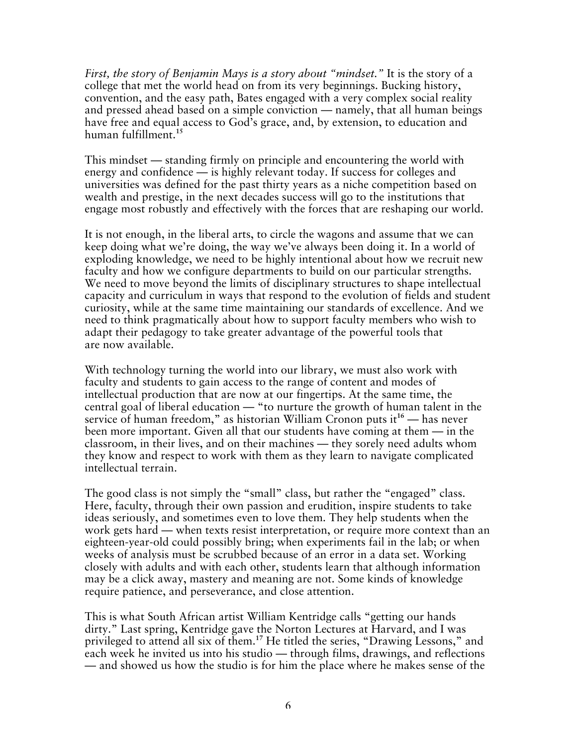*First, the story of Benjamin Mays is a story about "mindset."* It is the story of a college that met the world head on from its very beginnings. Bucking history, convention, and the easy path, Bates engaged with a very complex social reality and pressed ahead based on a simple conviction — namely, that all human beings have free and equal access to God's grace, and, by extension, to education and human fulfillment.**<sup>15</sup>**

This mindset — standing firmly on principle and encountering the world with energy and confidence — is highly relevant today. If success for colleges and universities was defined for the past thirty years as a niche competition based on wealth and prestige, in the next decades success will go to the institutions that engage most robustly and effectively with the forces that are reshaping our world.

It is not enough, in the liberal arts, to circle the wagons and assume that we can keep doing what we're doing, the way we've always been doing it. In a world of exploding knowledge, we need to be highly intentional about how we recruit new faculty and how we configure departments to build on our particular strengths. We need to move beyond the limits of disciplinary structures to shape intellectual capacity and curriculum in ways that respond to the evolution of fields and student curiosity, while at the same time maintaining our standards of excellence. And we need to think pragmatically about how to support faculty members who wish to adapt their pedagogy to take greater advantage of the powerful tools that are now available.

With technology turning the world into our library, we must also work with faculty and students to gain access to the range of content and modes of intellectual production that are now at our fingertips. At the same time, the central goal of liberal education — "to nurture the growth of human talent in the service of human freedom," as historian William Cronon puts it**<sup>16</sup>** — has never been more important. Given all that our students have coming at them — in the classroom, in their lives, and on their machines — they sorely need adults whom they know and respect to work with them as they learn to navigate complicated intellectual terrain.

The good class is not simply the "small" class, but rather the "engaged" class. Here, faculty, through their own passion and erudition, inspire students to take ideas seriously, and sometimes even to love them. They help students when the work gets hard — when texts resist interpretation, or require more context than an eighteen-year-old could possibly bring; when experiments fail in the lab; or when weeks of analysis must be scrubbed because of an error in a data set. Working closely with adults and with each other, students learn that although information may be a click away, mastery and meaning are not. Some kinds of knowledge require patience, and perseverance, and close attention.

This is what South African artist William Kentridge calls "getting our hands dirty." Last spring, Kentridge gave the Norton Lectures at Harvard, and I was privileged to attend all six of them.**<sup>17</sup>** He titled the series, "Drawing Lessons," and each week he invited us into his studio — through films, drawings, and reflections — and showed us how the studio is for him the place where he makes sense of the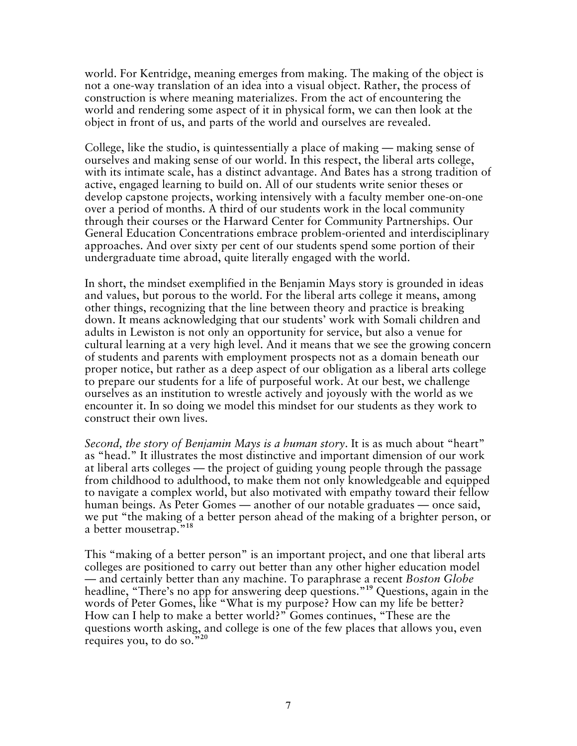world. For Kentridge, meaning emerges from making. The making of the object is not a one-way translation of an idea into a visual object. Rather, the process of construction is where meaning materializes. From the act of encountering the world and rendering some aspect of it in physical form, we can then look at the object in front of us, and parts of the world and ourselves are revealed.

College, like the studio, is quintessentially a place of making — making sense of ourselves and making sense of our world. In this respect, the liberal arts college, with its intimate scale, has a distinct advantage. And Bates has a strong tradition of active, engaged learning to build on. All of our students write senior theses or develop capstone projects, working intensively with a faculty member one-on-one over a period of months. A third of our students work in the local community through their courses or the Harward Center for Community Partnerships. Our General Education Concentrations embrace problem-oriented and interdisciplinary approaches. And over sixty per cent of our students spend some portion of their undergraduate time abroad, quite literally engaged with the world.

In short, the mindset exemplified in the Benjamin Mays story is grounded in ideas and values, but porous to the world. For the liberal arts college it means, among other things, recognizing that the line between theory and practice is breaking down. It means acknowledging that our students' work with Somali children and adults in Lewiston is not only an opportunity for service, but also a venue for cultural learning at a very high level. And it means that we see the growing concern of students and parents with employment prospects not as a domain beneath our proper notice, but rather as a deep aspect of our obligation as a liberal arts college to prepare our students for a life of purposeful work. At our best, we challenge ourselves as an institution to wrestle actively and joyously with the world as we encounter it. In so doing we model this mindset for our students as they work to construct their own lives.

*Second, the story of Benjamin Mays is a human story*. It is as much about "heart" as "head." It illustrates the most distinctive and important dimension of our work at liberal arts colleges — the project of guiding young people through the passage from childhood to adulthood, to make them not only knowledgeable and equipped to navigate a complex world, but also motivated with empathy toward their fellow human beings. As Peter Gomes — another of our notable graduates — once said, we put "the making of a better person ahead of the making of a brighter person, or a better mousetrap."**<sup>18</sup>**

This "making of a better person" is an important project, and one that liberal arts colleges are positioned to carry out better than any other higher education model — and certainly better than any machine. To paraphrase a recent *Boston Globe* headline, "There's no app for answering deep questions."**<sup>19</sup>** Questions, again in the words of Peter Gomes, like "What is my purpose? How can my life be better? How can I help to make a better world?" Gomes continues, "These are the questions worth asking, and college is one of the few places that allows you, even requires you, to do so."**20**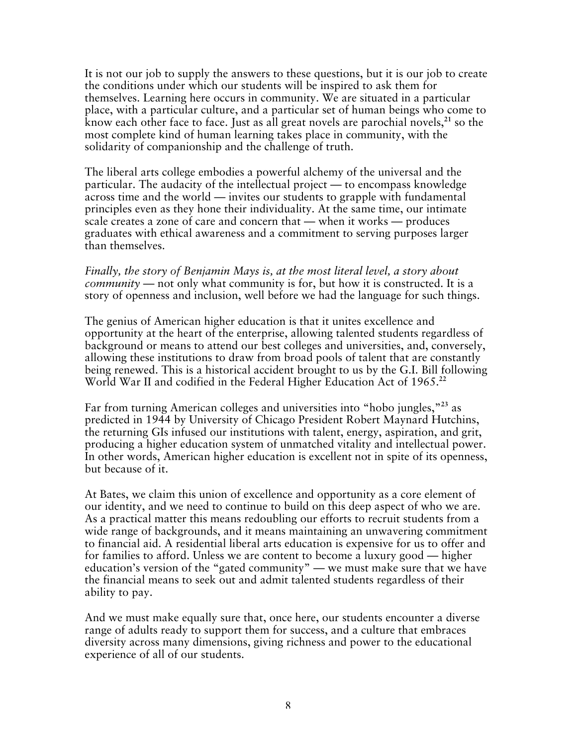It is not our job to supply the answers to these questions, but it is our job to create the conditions under which our students will be inspired to ask them for themselves. Learning here occurs in community. We are situated in a particular place, with a particular culture, and a particular set of human beings who come to know each other face to face. Just as all great novels are parochial novels,**<sup>21</sup>** so the most complete kind of human learning takes place in community, with the solidarity of companionship and the challenge of truth.

The liberal arts college embodies a powerful alchemy of the universal and the particular. The audacity of the intellectual project — to encompass knowledge across time and the world — invites our students to grapple with fundamental principles even as they hone their individuality. At the same time, our intimate scale creates a zone of care and concern that — when it works — produces graduates with ethical awareness and a commitment to serving purposes larger than themselves.

*Finally, the story of Benjamin Mays is, at the most literal level, a story about community* — not only what community is for, but how it is constructed. It is a story of openness and inclusion, well before we had the language for such things.

The genius of American higher education is that it unites excellence and opportunity at the heart of the enterprise, allowing talented students regardless of background or means to attend our best colleges and universities, and, conversely, allowing these institutions to draw from broad pools of talent that are constantly being renewed. This is a historical accident brought to us by the G.I. Bill following World War II and codified in the Federal Higher Education Act of 1965.**<sup>22</sup>**

Far from turning American colleges and universities into "hobo jungles,"**<sup>23</sup>** as predicted in 1944 by University of Chicago President Robert Maynard Hutchins, the returning GIs infused our institutions with talent, energy, aspiration, and grit, producing a higher education system of unmatched vitality and intellectual power. In other words, American higher education is excellent not in spite of its openness, but because of it.

At Bates, we claim this union of excellence and opportunity as a core element of our identity, and we need to continue to build on this deep aspect of who we are. As a practical matter this means redoubling our efforts to recruit students from a wide range of backgrounds, and it means maintaining an unwavering commitment to financial aid. A residential liberal arts education is expensive for us to offer and for families to afford. Unless we are content to become a luxury good — higher education's version of the "gated community" — we must make sure that we have the financial means to seek out and admit talented students regardless of their ability to pay.

And we must make equally sure that, once here, our students encounter a diverse range of adults ready to support them for success, and a culture that embraces diversity across many dimensions, giving richness and power to the educational experience of all of our students.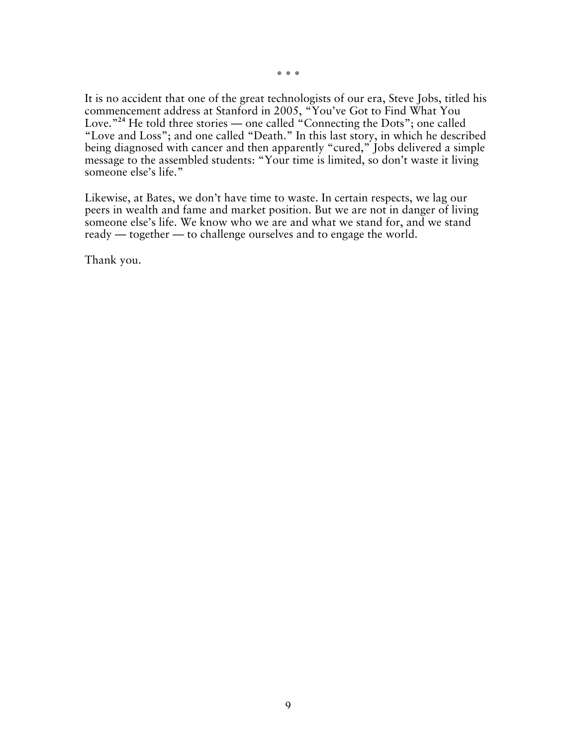• • •

It is no accident that one of the great technologists of our era, Steve Jobs, titled his commencement address at Stanford in 2005, "You've Got to Find What You Love."<sup>24</sup> He told three stories — one called "Connecting the Dots"; one called "Love and Loss"; and one called "Death." In this last story, in which he described being diagnosed with cancer and then apparently "cured," Jobs delivered a simple message to the assembled students: "Your time is limited, so don't waste it living someone else's life."

Likewise, at Bates, we don't have time to waste. In certain respects, we lag our peers in wealth and fame and market position. But we are not in danger of living someone else's life. We know who we are and what we stand for, and we stand ready — together — to challenge ourselves and to engage the world.

Thank you.